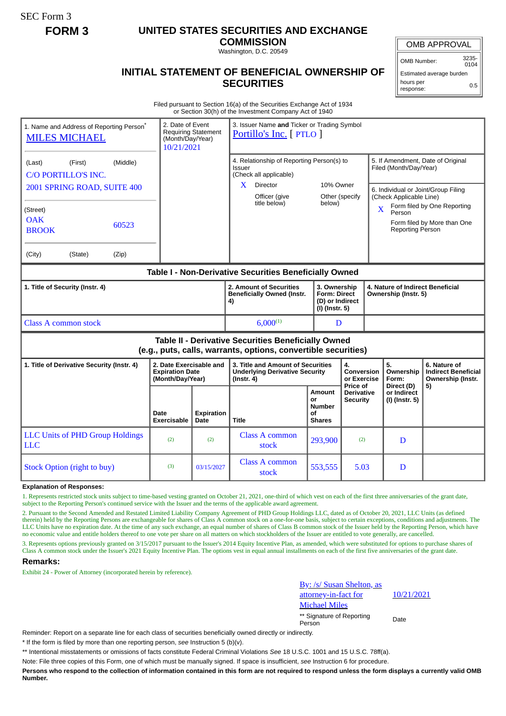SEC Form 3

# **FORM 3 UNITED STATES SECURITIES AND EXCHANGE**

**COMMISSION** Washington, D.C. 20549

## **INITIAL STATEMENT OF BENEFICIAL OWNERSHIP OF SECURITIES**

OMB APPROVAL

OMB Number: 3235- 0104

Estimated average burden hours per response: 0.5

Filed pursuant to Section 16(a) of the Securities Exchange Act of 1934 or Section 30(h) of the Investment Company Act of 1940

|                                                                                                                       | 1. Name and Address of Reporting Person <sup>®</sup><br><b>MILES MICHAEL</b> |       | 2. Date of Event<br>(Month/Day/Year)<br>10/21/2021                    | <b>Requiring Statement</b> | 3. Issuer Name and Ticker or Trading Symbol<br>Portillo's Inc. [ PTLO ]                        |                                                                          |                                                  |                                                             |                                                                                                                            |                                                                 |  |
|-----------------------------------------------------------------------------------------------------------------------|------------------------------------------------------------------------------|-------|-----------------------------------------------------------------------|----------------------------|------------------------------------------------------------------------------------------------|--------------------------------------------------------------------------|--------------------------------------------------|-------------------------------------------------------------|----------------------------------------------------------------------------------------------------------------------------|-----------------------------------------------------------------|--|
| (Middle)<br>(Last)<br>(First)<br>C/O PORTILLO'S INC.                                                                  |                                                                              |       |                                                                       |                            | 4. Relationship of Reporting Person(s) to<br><b>Issuer</b><br>(Check all applicable)           |                                                                          |                                                  | 5. If Amendment, Date of Original<br>Filed (Month/Day/Year) |                                                                                                                            |                                                                 |  |
| 2001 SPRING ROAD, SUITE 400                                                                                           |                                                                              |       |                                                                       |                            | X.<br><b>Director</b><br>Officer (give                                                         |                                                                          | 10% Owner<br>Other (specify<br>below)            |                                                             | 6. Individual or Joint/Group Filing<br>(Check Applicable Line)                                                             |                                                                 |  |
| (Street)<br><b>OAK</b><br><b>BROOK</b>                                                                                | 60523                                                                        |       |                                                                       |                            | title below)                                                                                   |                                                                          |                                                  |                                                             | Form filed by One Reporting<br>$\overline{\mathbf{X}}$<br>Person<br>Form filed by More than One<br><b>Reporting Person</b> |                                                                 |  |
| (City)                                                                                                                | (State)                                                                      | (Zip) |                                                                       |                            |                                                                                                |                                                                          |                                                  |                                                             |                                                                                                                            |                                                                 |  |
| Table I - Non-Derivative Securities Beneficially Owned                                                                |                                                                              |       |                                                                       |                            |                                                                                                |                                                                          |                                                  |                                                             |                                                                                                                            |                                                                 |  |
| 1. Title of Security (Instr. 4)                                                                                       |                                                                              |       |                                                                       |                            | 2. Amount of Securities<br><b>Beneficially Owned (Instr.</b><br>4)                             | 3. Ownership<br><b>Form: Direct</b><br>(D) or Indirect<br>(I) (Instr. 5) |                                                  |                                                             | 4. Nature of Indirect Beneficial<br>Ownership (Instr. 5)                                                                   |                                                                 |  |
| Class A common stock                                                                                                  |                                                                              |       |                                                                       |                            | $6,000^{(1)}$                                                                                  | D                                                                        |                                                  |                                                             |                                                                                                                            |                                                                 |  |
| Table II - Derivative Securities Beneficially Owned<br>(e.g., puts, calls, warrants, options, convertible securities) |                                                                              |       |                                                                       |                            |                                                                                                |                                                                          |                                                  |                                                             |                                                                                                                            |                                                                 |  |
| 1. Title of Derivative Security (Instr. 4)                                                                            |                                                                              |       | 2. Date Exercisable and<br><b>Expiration Date</b><br>(Month/Day/Year) |                            | 3. Title and Amount of Securities<br><b>Underlying Derivative Security</b><br>$($ lnstr. 4 $)$ |                                                                          | 4.<br>Conversion<br>or Exercise                  |                                                             | 5.<br>Ownership<br>Form:                                                                                                   | 6. Nature of<br><b>Indirect Beneficial</b><br>Ownership (Instr. |  |
|                                                                                                                       |                                                                              |       | Date<br><b>Exercisable</b>                                            | <b>Expiration</b><br>Date  | <b>Title</b>                                                                                   | <b>Amount</b><br>or<br>Number<br>οf<br><b>Shares</b>                     | Price of<br><b>Derivative</b><br><b>Security</b> |                                                             | Direct (D)<br>or Indirect<br>(I) (Instr. 5)                                                                                | 5)                                                              |  |
| <b>LLC</b>                                                                                                            | <b>LLC Units of PHD Group Holdings</b>                                       |       | (2)                                                                   | (2)                        | Class A common<br>stock                                                                        | 293,900                                                                  | (2)                                              |                                                             | D                                                                                                                          |                                                                 |  |
|                                                                                                                       | <b>Stock Option (right to buy)</b>                                           |       | (3)                                                                   | 03/15/2027                 | Class A common<br>stock                                                                        | 553,555                                                                  | 5.03                                             |                                                             | D                                                                                                                          |                                                                 |  |

#### **Explanation of Responses:**

1. Represents restricted stock units subject to time-based vesting granted on October 21, 2021, one-third of which vest on each of the first three anniversaries of the grant date, subject to the Reporting Person's continued service with the Issuer and the terms of the applicable award agreement.

2. Pursuant to the Second Amended and Restated Limited Liability Company Agreement of PHD Group Holdings LLC, dated as of October 20, 2021, LLC Units (as defined therein) held by the Reporting Persons are exchangeable for shares of Class A common stock on a one-for-one basis, subject to certain exceptions, conditions and adjustments. The LLC Units have no expiration date. At the time of any such exchange, an equal number of shares of Class B common stock of the Issuer held by the Reporting Person, which have no economic value and entitle holders thereof to one vote per share on all matters on which stockholders of the Issuer are entitled to vote generally, are cancelled.

3. Represents options previously granted on 3/15/2017 pursuant to the Issuer's 2014 Equity Incentive Plan, as amended, which were substituted for options to purchase shares of Class A common stock under the Issuer's 2021 Equity Incentive Plan. The options vest in equal annual installments on each of the first five anniversaries of the grant date.

## **Remarks:**

Exhibit 24 - Power of Attorney (incorporated herein by reference).



\*\* Signature of Reporting Person Date

10/21/2021

Reminder: Report on a separate line for each class of securities beneficially owned directly or indirectly.

\* If the form is filed by more than one reporting person, *see* Instruction 5 (b)(v).

\*\* Intentional misstatements or omissions of facts constitute Federal Criminal Violations *See* 18 U.S.C. 1001 and 15 U.S.C. 78ff(a).

Note: File three copies of this Form, one of which must be manually signed. If space is insufficient, *see* Instruction 6 for procedure.

**Persons who respond to the collection of information contained in this form are not required to respond unless the form displays a currently valid OMB Number.**